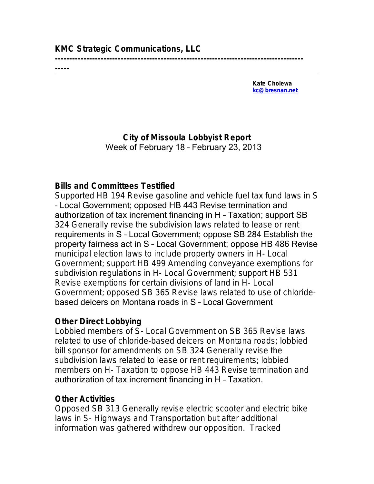## **KMC Strategic Communications, LLC**

**--------------------------------------------------------------------------------------- -----**

> **Kate Cholewa [kc@bresnan.net](mailto:kc@bresnan.net)**

**City of Missoula Lobbyist Report** Week of February 18 – February 23, 2013

## **Bills and Committees Testified**

Supported HB 194 Revise gasoline and vehicle fuel tax fund laws in S – Local Government; opposed HB 443 Revise termination and authorization of tax increment financing in H – Taxation; support SB 324 Generally revise the subdivision laws related to lease or rent requirements in S – Local Government; oppose SB 284 Establish the property fairness act in S – Local Government; oppose HB 486 Revise municipal election laws to include property owners in H- Local Government; support HB 499 Amending conveyance exemptions for subdivision regulations in H- Local Government; support HB 531 Revise exemptions for certain divisions of land in H- Local Government; opposed SB 365 Revise laws related to use of chloridebased deicers on Montana roads in S – Local Government

## **Other Direct Lobbying**

Lobbied members of S- Local Government on SB 365 Revise laws related to use of chloride-based deicers on Montana roads; lobbied bill sponsor for amendments on SB 324 Generally revise the subdivision laws related to lease or rent requirements; lobbied members on H- Taxation to oppose HB 443 Revise termination and authorization of tax increment financing in H – Taxation.

## **Other Activities**

Opposed SB 313 Generally revise electric scooter and electric bike laws in S- Highways and Transportation but after additional information was gathered withdrew our opposition. Tracked